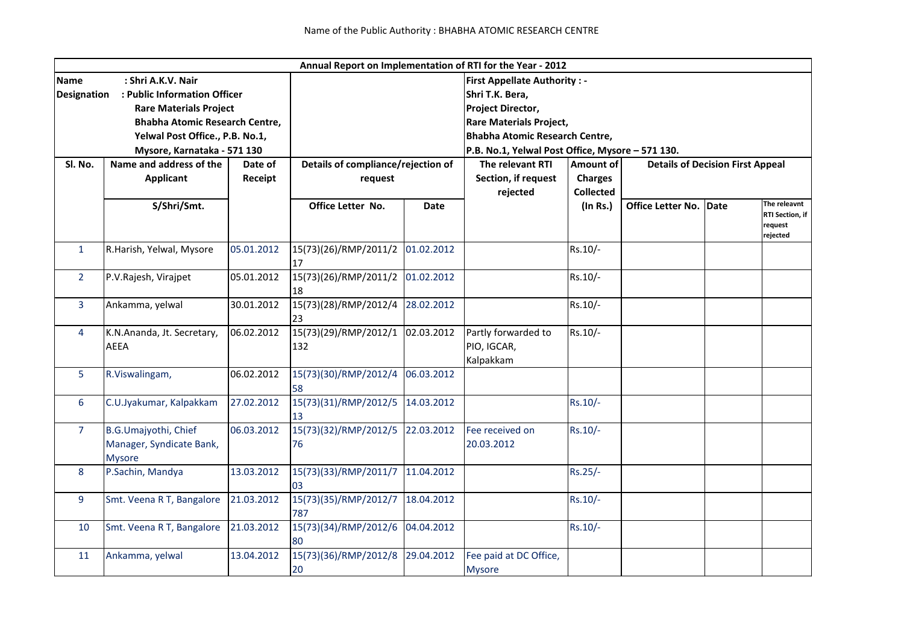| Annual Report on Implementation of RTI for the Year - 2012 |                                    |            |                                    |             |                                                                         |                                                      |                          |      |                            |  |  |
|------------------------------------------------------------|------------------------------------|------------|------------------------------------|-------------|-------------------------------------------------------------------------|------------------------------------------------------|--------------------------|------|----------------------------|--|--|
| <b>Name</b><br>: Shri A.K.V. Nair                          |                                    |            |                                    |             | <b>First Appellate Authority: -</b>                                     |                                                      |                          |      |                            |  |  |
| <b>Designation</b><br>: Public Information Officer         |                                    |            |                                    |             | Shri T.K. Bera,                                                         |                                                      |                          |      |                            |  |  |
|                                                            | <b>Rare Materials Project</b>      |            |                                    |             | Project Director,                                                       |                                                      |                          |      |                            |  |  |
|                                                            | Bhabha Atomic Research Centre,     |            |                                    |             | <b>Rare Materials Project,</b><br><b>Bhabha Atomic Research Centre,</b> |                                                      |                          |      |                            |  |  |
|                                                            | Yelwal Post Office., P.B. No.1,    |            |                                    |             |                                                                         |                                                      |                          |      |                            |  |  |
|                                                            | Mysore, Karnataka - 571 130        |            |                                    |             | P.B. No.1, Yelwal Post Office, Mysore - 571 130.                        |                                                      |                          |      |                            |  |  |
| Sl. No.                                                    | Name and address of the<br>Date of |            | Details of compliance/rejection of |             | The relevant RTI                                                        | Amount of<br><b>Details of Decision First Appeal</b> |                          |      |                            |  |  |
|                                                            | <b>Applicant</b>                   | Receipt    | request                            |             | Section, if request<br>rejected                                         | <b>Charges</b>                                       |                          |      |                            |  |  |
|                                                            |                                    |            |                                    |             |                                                                         | <b>Collected</b>                                     |                          |      |                            |  |  |
|                                                            | S/Shri/Smt.                        |            | Office Letter No.                  | <b>Date</b> |                                                                         | $($ In Rs. $)$                                       | <b>Office Letter No.</b> | Date | The releavnt               |  |  |
|                                                            |                                    |            |                                    |             |                                                                         |                                                      |                          |      | RTI Section, if<br>request |  |  |
|                                                            |                                    |            |                                    |             |                                                                         |                                                      |                          |      | rejected                   |  |  |
| $\mathbf{1}$                                               | R.Harish, Yelwal, Mysore           | 05.01.2012 | 15(73)(26)/RMP/2011/2              | 01.02.2012  |                                                                         | Rs.10/-                                              |                          |      |                            |  |  |
|                                                            |                                    |            | 17                                 |             |                                                                         |                                                      |                          |      |                            |  |  |
| $\overline{2}$                                             | P.V.Rajesh, Virajpet               | 05.01.2012 | 15(73)(26)/RMP/2011/2              | 01.02.2012  |                                                                         | Rs.10/-                                              |                          |      |                            |  |  |
|                                                            |                                    |            | 18                                 |             |                                                                         |                                                      |                          |      |                            |  |  |
| $\overline{3}$                                             | Ankamma, yelwal                    | 30.01.2012 | 15(73)(28)/RMP/2012/4              | 28.02.2012  |                                                                         | Rs.10/-                                              |                          |      |                            |  |  |
|                                                            |                                    |            | 23                                 |             |                                                                         |                                                      |                          |      |                            |  |  |
| 4                                                          | K.N.Ananda, Jt. Secretary,         | 06.02.2012 | 15(73)(29)/RMP/2012/1              | 02.03.2012  | Partly forwarded to                                                     | Rs.10/-                                              |                          |      |                            |  |  |
|                                                            | <b>AEEA</b>                        |            | 132                                |             | PIO, IGCAR,                                                             |                                                      |                          |      |                            |  |  |
|                                                            |                                    |            |                                    |             | Kalpakkam                                                               |                                                      |                          |      |                            |  |  |
| 5                                                          | R.Viswalingam,                     | 06.02.2012 | 15(73)(30)/RMP/2012/4              | 06.03.2012  |                                                                         |                                                      |                          |      |                            |  |  |
|                                                            |                                    |            | 58                                 |             |                                                                         |                                                      |                          |      |                            |  |  |
| 6                                                          | C.U.Jyakumar, Kalpakkam            | 27.02.2012 | 15(73)(31)/RMP/2012/5              | 14.03.2012  |                                                                         | $Rs.10/-$                                            |                          |      |                            |  |  |
|                                                            |                                    |            | 13                                 |             |                                                                         |                                                      |                          |      |                            |  |  |
| $\overline{7}$                                             | B.G.Umajyothi, Chief               | 06.03.2012 | 15(73)(32)/RMP/2012/5              | 22.03.2012  | Fee received on                                                         | $Rs.10/-$                                            |                          |      |                            |  |  |
|                                                            | Manager, Syndicate Bank,           |            | 76                                 |             | 20.03.2012                                                              |                                                      |                          |      |                            |  |  |
|                                                            | <b>Mysore</b>                      |            |                                    |             |                                                                         |                                                      |                          |      |                            |  |  |
| 8                                                          | P.Sachin, Mandya                   | 13.03.2012 | 15(73)(33)/RMP/2011/7              | 11.04.2012  |                                                                         | Rs.25/-                                              |                          |      |                            |  |  |
|                                                            |                                    |            | 03                                 |             |                                                                         |                                                      |                          |      |                            |  |  |
| 9                                                          | Smt. Veena R T, Bangalore          | 21.03.2012 | 15(73)(35)/RMP/2012/7              | 18.04.2012  |                                                                         | Rs.10/-                                              |                          |      |                            |  |  |
|                                                            |                                    |            | 787                                |             |                                                                         |                                                      |                          |      |                            |  |  |
| 10                                                         | Smt. Veena R T, Bangalore          | 21.03.2012 | 15(73)(34)/RMP/2012/6              | 04.04.2012  |                                                                         | Rs.10/-                                              |                          |      |                            |  |  |
|                                                            |                                    |            | 80                                 |             |                                                                         |                                                      |                          |      |                            |  |  |
| 11                                                         | Ankamma, yelwal                    | 13.04.2012 | 15(73)(36)/RMP/2012/8              | 29.04.2012  | Fee paid at DC Office,                                                  |                                                      |                          |      |                            |  |  |
|                                                            |                                    |            | 20                                 |             | <b>Mysore</b>                                                           |                                                      |                          |      |                            |  |  |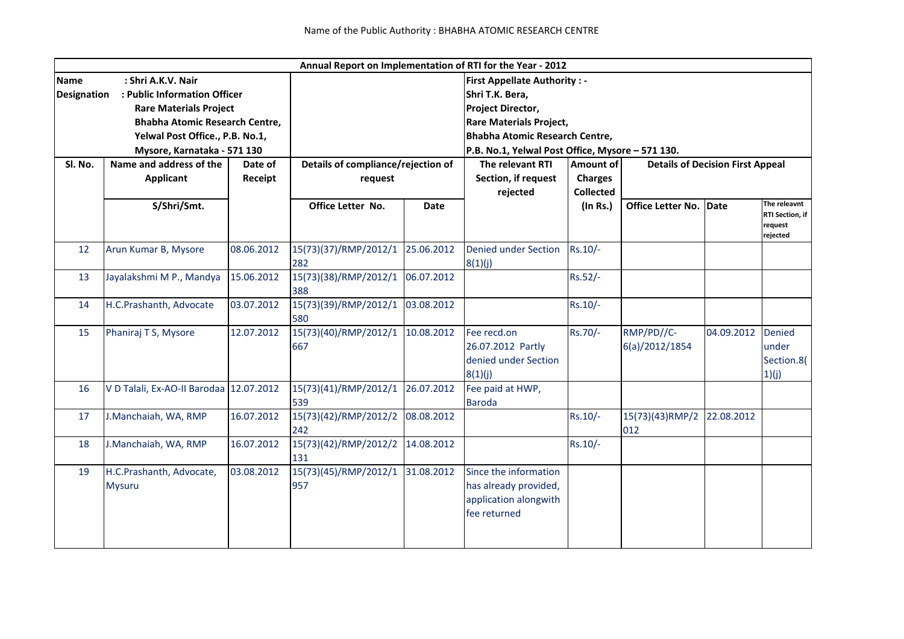|                                                        |                                           |                    |                                       |                                                                                                                                                                           | Annual Report on Implementation of RTI for the Year - 2012                              |                  |                              |            |                                               |  |  |  |
|--------------------------------------------------------|-------------------------------------------|--------------------|---------------------------------------|---------------------------------------------------------------------------------------------------------------------------------------------------------------------------|-----------------------------------------------------------------------------------------|------------------|------------------------------|------------|-----------------------------------------------|--|--|--|
| : Shri A.K.V. Nair<br><b>Name</b>                      |                                           |                    |                                       |                                                                                                                                                                           | <b>First Appellate Authority: -</b>                                                     |                  |                              |            |                                               |  |  |  |
| : Public Information Officer<br><b>Designation</b>     |                                           | Shri T.K. Bera,    |                                       |                                                                                                                                                                           |                                                                                         |                  |                              |            |                                               |  |  |  |
|                                                        | <b>Rare Materials Project</b>             |                    |                                       |                                                                                                                                                                           | <b>Project Director,</b><br><b>Rare Materials Project,</b>                              |                  |                              |            |                                               |  |  |  |
|                                                        | <b>Bhabha Atomic Research Centre,</b>     |                    |                                       |                                                                                                                                                                           |                                                                                         |                  |                              |            |                                               |  |  |  |
|                                                        | Yelwal Post Office., P.B. No.1,           |                    | <b>Bhabha Atomic Research Centre,</b> |                                                                                                                                                                           |                                                                                         |                  |                              |            |                                               |  |  |  |
| Mysore, Karnataka - 571 130<br>Name and address of the |                                           |                    |                                       | P.B. No.1, Yelwal Post Office, Mysore - 571 130.<br>Details of compliance/rejection of<br>The relevant RTI<br><b>Amount of</b><br><b>Details of Decision First Appeal</b> |                                                                                         |                  |                              |            |                                               |  |  |  |
| Sl. No.                                                |                                           | Date of<br>Receipt | request                               |                                                                                                                                                                           | Section, if request                                                                     |                  |                              |            |                                               |  |  |  |
|                                                        | <b>Applicant</b>                          |                    |                                       |                                                                                                                                                                           |                                                                                         | <b>Charges</b>   |                              |            |                                               |  |  |  |
|                                                        | S/Shri/Smt.                               |                    | Office Letter No.                     | <b>Date</b>                                                                                                                                                               | rejected                                                                                | <b>Collected</b> | Office Letter No.            | Date       | The releavnt                                  |  |  |  |
|                                                        |                                           |                    |                                       |                                                                                                                                                                           |                                                                                         | (In Rs.)         |                              |            | RTI Section, if<br>request<br>rejected        |  |  |  |
| 12                                                     | Arun Kumar B, Mysore                      | 08.06.2012         | 15(73)(37)/RMP/2012/1<br>282          | 25.06.2012                                                                                                                                                                | <b>Denied under Section</b><br>8(1)(j)                                                  | $Rs.10/-$        |                              |            |                                               |  |  |  |
| 13                                                     | Jayalakshmi M P., Mandya                  | 15.06.2012         | 15(73)(38)/RMP/2012/1<br>388          | 06.07.2012                                                                                                                                                                |                                                                                         | Rs.52/-          |                              |            |                                               |  |  |  |
| 14                                                     | H.C.Prashanth, Advocate                   | 03.07.2012         | 15(73)(39)/RMP/2012/1<br>580          | 03.08.2012                                                                                                                                                                |                                                                                         | Rs.10/-          |                              |            |                                               |  |  |  |
| 15                                                     | Phaniraj T S, Mysore                      | 12.07.2012         | 15(73)(40)/RMP/2012/1<br>667          | 10.08.2012                                                                                                                                                                | Fee recd.on<br>26.07.2012 Partly<br>denied under Section<br>8(1)(j)                     | Rs.70/-          | RMP/PD//C-<br>6(a)/2012/1854 | 04.09.2012 | <b>Denied</b><br>under<br>Section.8(<br>1)(j) |  |  |  |
| 16                                                     | V D Talali, Ex-AO-II Barodaa 12.07.2012   |                    | 15(73)(41)/RMP/2012/1<br>539          | 26.07.2012                                                                                                                                                                | Fee paid at HWP,<br><b>Baroda</b>                                                       |                  |                              |            |                                               |  |  |  |
| 17                                                     | J.Manchaiah, WA, RMP                      | 16.07.2012         | 15(73)(42)/RMP/2012/2<br>242          | 08.08.2012                                                                                                                                                                |                                                                                         | Rs.10/-          | 15(73)(43)RMP/2<br>012       | 22.08.2012 |                                               |  |  |  |
| 18                                                     | J.Manchaiah, WA, RMP                      | 16.07.2012         | 15(73)(42)/RMP/2012/2<br>131          | 14.08.2012                                                                                                                                                                |                                                                                         | Rs.10/-          |                              |            |                                               |  |  |  |
| 19                                                     | H.C.Prashanth, Advocate,<br><b>Mysuru</b> | 03.08.2012         | 15(73)(45)/RMP/2012/1<br>957          | 31.08.2012                                                                                                                                                                | Since the information<br>has already provided,<br>application alongwith<br>fee returned |                  |                              |            |                                               |  |  |  |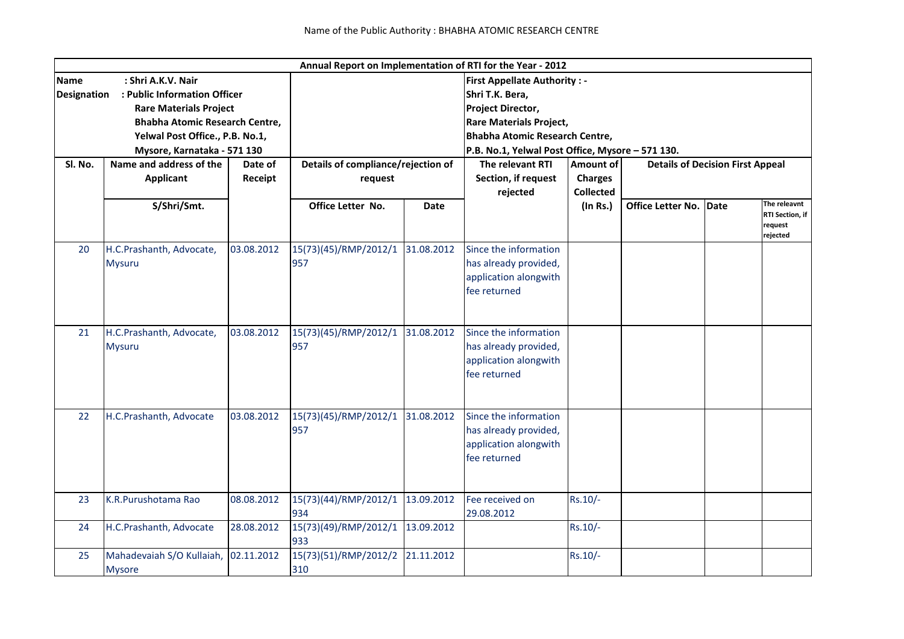|                                                    |                                    |            |                                     |             | Annual Report on Implementation of RTI for the Year - 2012              |                                                      |                               |  |                        |  |  |
|----------------------------------------------------|------------------------------------|------------|-------------------------------------|-------------|-------------------------------------------------------------------------|------------------------------------------------------|-------------------------------|--|------------------------|--|--|
| <b>Name</b><br>: Shri A.K.V. Nair                  |                                    |            | <b>First Appellate Authority: -</b> |             |                                                                         |                                                      |                               |  |                        |  |  |
| : Public Information Officer<br><b>Designation</b> |                                    |            | Shri T.K. Bera,                     |             |                                                                         |                                                      |                               |  |                        |  |  |
|                                                    | <b>Rare Materials Project</b>      |            | Project Director,                   |             |                                                                         |                                                      |                               |  |                        |  |  |
|                                                    | Bhabha Atomic Research Centre,     |            |                                     |             | <b>Rare Materials Project,</b><br><b>Bhabha Atomic Research Centre,</b> |                                                      |                               |  |                        |  |  |
|                                                    | Yelwal Post Office., P.B. No.1,    |            |                                     |             |                                                                         |                                                      |                               |  |                        |  |  |
|                                                    | Mysore, Karnataka - 571 130        |            |                                     |             | P.B. No.1, Yelwal Post Office, Mysore - 571 130.                        |                                                      |                               |  |                        |  |  |
| Sl. No.                                            | Name and address of the<br>Date of |            | Details of compliance/rejection of  |             | The relevant RTI                                                        | Amount of<br><b>Details of Decision First Appeal</b> |                               |  |                        |  |  |
|                                                    | Applicant                          | Receipt    | request                             |             | Section, if request                                                     | <b>Charges</b>                                       |                               |  |                        |  |  |
|                                                    |                                    |            |                                     |             | rejected                                                                | <b>Collected</b>                                     |                               |  |                        |  |  |
|                                                    | S/Shri/Smt.                        |            | Office Letter No.                   | <b>Date</b> |                                                                         | (In Rs.)                                             | <b>Office Letter No. Date</b> |  | The releavnt           |  |  |
|                                                    |                                    |            |                                     |             |                                                                         |                                                      |                               |  | <b>RTI Section, if</b> |  |  |
|                                                    |                                    |            |                                     |             |                                                                         |                                                      |                               |  | request<br>rejected    |  |  |
| 20                                                 | H.C.Prashanth, Advocate,           | 03.08.2012 | 15(73)(45)/RMP/2012/1               | 31.08.2012  | Since the information                                                   |                                                      |                               |  |                        |  |  |
|                                                    | <b>Mysuru</b>                      |            | 957                                 |             | has already provided,                                                   |                                                      |                               |  |                        |  |  |
|                                                    |                                    |            |                                     |             | application alongwith                                                   |                                                      |                               |  |                        |  |  |
|                                                    |                                    |            |                                     |             | fee returned                                                            |                                                      |                               |  |                        |  |  |
|                                                    |                                    |            |                                     |             |                                                                         |                                                      |                               |  |                        |  |  |
|                                                    |                                    |            |                                     |             |                                                                         |                                                      |                               |  |                        |  |  |
| 21                                                 | H.C.Prashanth, Advocate,           | 03.08.2012 | 15(73)(45)/RMP/2012/1               | 31.08.2012  | Since the information                                                   |                                                      |                               |  |                        |  |  |
|                                                    | <b>Mysuru</b>                      |            | 957                                 |             | has already provided,                                                   |                                                      |                               |  |                        |  |  |
|                                                    |                                    |            |                                     |             | application alongwith                                                   |                                                      |                               |  |                        |  |  |
|                                                    |                                    |            |                                     |             | fee returned                                                            |                                                      |                               |  |                        |  |  |
|                                                    |                                    |            |                                     |             |                                                                         |                                                      |                               |  |                        |  |  |
|                                                    |                                    |            |                                     |             |                                                                         |                                                      |                               |  |                        |  |  |
| 22                                                 | H.C.Prashanth, Advocate            | 03.08.2012 | 15(73)(45)/RMP/2012/1               | 31.08.2012  | Since the information                                                   |                                                      |                               |  |                        |  |  |
|                                                    |                                    |            | 957                                 |             | has already provided,                                                   |                                                      |                               |  |                        |  |  |
|                                                    |                                    |            |                                     |             | application alongwith                                                   |                                                      |                               |  |                        |  |  |
|                                                    |                                    |            |                                     |             | fee returned                                                            |                                                      |                               |  |                        |  |  |
|                                                    |                                    |            |                                     |             |                                                                         |                                                      |                               |  |                        |  |  |
|                                                    |                                    |            |                                     |             |                                                                         |                                                      |                               |  |                        |  |  |
| 23                                                 | K.R.Purushotama Rao                | 08.08.2012 | 15(73)(44)/RMP/2012/1               | 13.09.2012  | Fee received on                                                         | Rs.10/-                                              |                               |  |                        |  |  |
|                                                    |                                    |            | 934                                 |             | 29.08.2012                                                              |                                                      |                               |  |                        |  |  |
| 24                                                 | H.C.Prashanth, Advocate            | 28.08.2012 | 15(73)(49)/RMP/2012/1               | 13.09.2012  |                                                                         | Rs.10/-                                              |                               |  |                        |  |  |
|                                                    |                                    |            | 933                                 |             |                                                                         |                                                      |                               |  |                        |  |  |
| 25                                                 | Mahadevaiah S/O Kullaiah,          | 02.11.2012 | 15(73)(51)/RMP/2012/2               | 21.11.2012  |                                                                         | Rs.10/-                                              |                               |  |                        |  |  |
|                                                    | <b>Mysore</b>                      |            | 310                                 |             |                                                                         |                                                      |                               |  |                        |  |  |